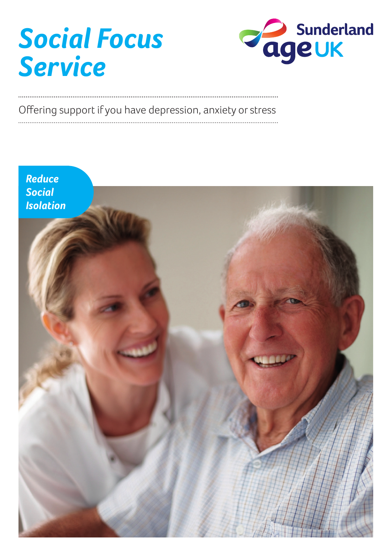# *Social Focus Service*



## Offering support if you have depression, anxiety or stress

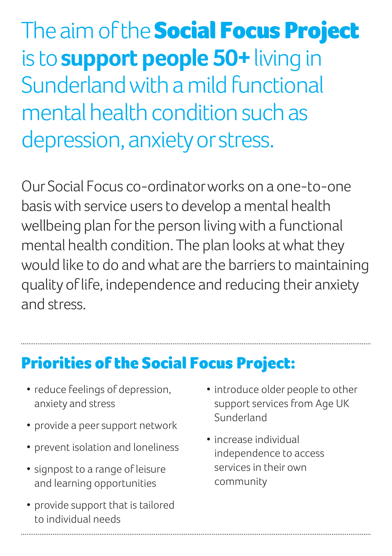The aim of the **Social Focus Project** is to **support people 50+** living in Sunderland with a mild functional mental health condition such as depression, anxiety or stress.

Our Social Focus co-ordinator works on a one-to-one basis with service users to develop a mental health wellbeing plan for the person living with a functional mental health condition. The plan looks at what they would like to do and what are the barriers to maintaining quality of life, independence and reducing their anxiety and stress.

#### Priorities of the Social Focus Project:

- reduce feelings of depression, anxiety and stress
- provide a peer support network
- prevent isolation and loneliness
- signpost to a range of leisure and learning opportunities
- provide support that is tailored to individual needs
- introduce older people to other support services from Age UK Sunderland
- increase individual independence to access services in their own community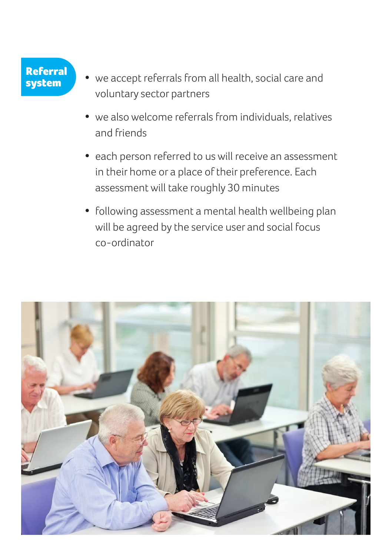# Referral<br>system

- we accept referrals from all health, social care and voluntary sector partners
- we also welcome referrals from individuals, relatives and friends
- each person referred to us will receive an assessment in their home or a place of their preference. Each assessment will take roughly 30 minutes
- following assessment a mental health wellbeing plan will be agreed by the service user and social focus co-ordinator